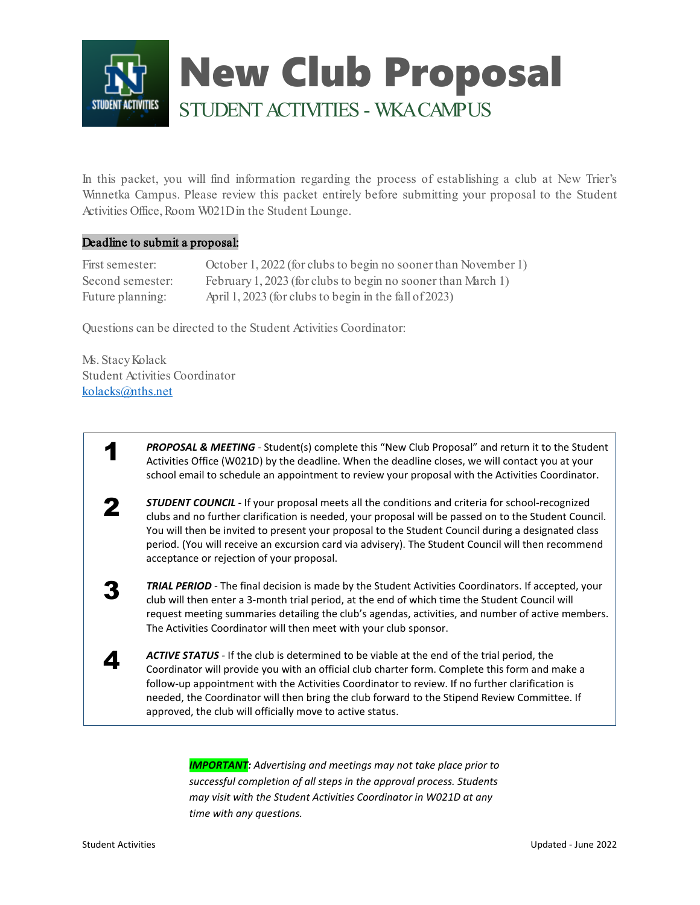

In this packet, you will find information regarding the process of establishing a club at New Trier's Winnetka Campus. Please review this packet entirely before submitting your proposal to the Student Activities Office, Room W021Din the Student Lounge.

#### Deadline to submit a proposal:

| First semester:  | October 1, 2022 (for clubs to begin no sooner than November 1) |
|------------------|----------------------------------------------------------------|
| Second semester: | February 1, 2023 (for clubs to begin no sooner than March 1)   |
| Future planning: | April 1, 2023 (for clubs to begin in the fall of 2023)         |

Questions can be directed to the Student Activities Coordinator:

Ms. Stacy Kolack Student Activities Coordinator [kolacks@nths.net](mailto:kolacks@nths.net) 

> **PROPOSAL & MEETING** - Student(s) complete this "New Club Proposal" and return it to the Student Activities Office (W021D) by the deadline. When the deadline closes, we will contact you at your school email to schedule an appointment to review your proposal with the Activities Coordinator.

2 *STUDENT COUNCIL -* If your proposal meets all the conditions and criteria for school-recognized clubs and no further clarification is needed, your proposal will be passed on to the Student Council. You will then be invited to present your proposal to the Student Council during a designated class period. (You will receive an excursion card via advisery). The Student Council will then recommend acceptance or rejection of your proposal.

**3 TRIAL PERIOD** - The final decision is made by the Student Activities Coordinators. If accepted, your club will then enter a 3-month trial period, at the end of which time the Student Council will request meeting summaries detailing the club's agendas, activities, and number of active members. The Activities Coordinator will then meet with your club sponsor.

**ACTIVE STATUS** - If the club is determined to be viable at the end of the trial period, the Coordinator will provide you with an official club charter form. Complete this form and make a follow-up appointment with the Activities Coordinator to review. If no further clarification is needed, the Coordinator will then bring the club forward to the Stipend Review Committee. If approved, the club will officially move to active status.

> *IMPORTANT: Advertising and meetings may not take place prior to successful completion of all steps in the approval process. Students may visit with the Student Activities Coordinator in W021D at any time with any questions.*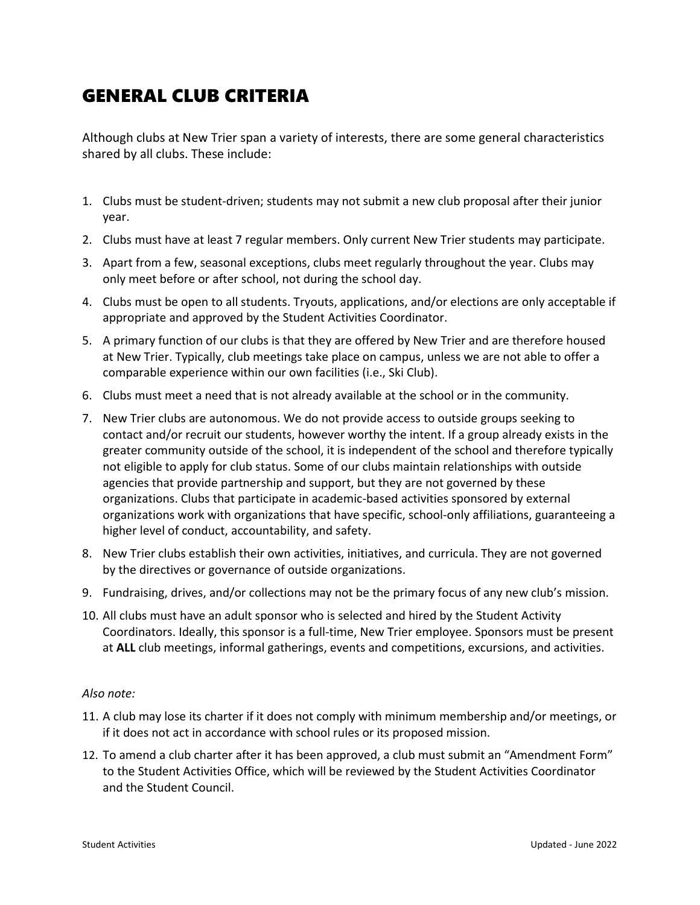### GENERAL CLUB CRITERIA

Although clubs at New Trier span a variety of interests, there are some general characteristics shared by all clubs. These include:

- 1. Clubs must be student-driven; students may not submit a new club proposal after their junior year.
- 2. Clubs must have at least 7 regular members. Only current New Trier students may participate.
- 3. Apart from a few, seasonal exceptions, clubs meet regularly throughout the year. Clubs may only meet before or after school, not during the school day.
- 4. Clubs must be open to all students. Tryouts, applications, and/or elections are only acceptable if appropriate and approved by the Student Activities Coordinator.
- 5. A primary function of our clubs is that they are offered by New Trier and are therefore housed at New Trier. Typically, club meetings take place on campus, unless we are not able to offer a comparable experience within our own facilities (i.e., Ski Club).
- 6. Clubs must meet a need that is not already available at the school or in the community.
- 7. New Trier clubs are autonomous. We do not provide access to outside groups seeking to contact and/or recruit our students, however worthy the intent. If a group already exists in the greater community outside of the school, it is independent of the school and therefore typically not eligible to apply for club status. Some of our clubs maintain relationships with outside agencies that provide partnership and support, but they are not governed by these organizations. Clubs that participate in academic-based activities sponsored by external organizations work with organizations that have specific, school-only affiliations, guaranteeing a higher level of conduct, accountability, and safety.
- 8. New Trier clubs establish their own activities, initiatives, and curricula. They are not governed by the directives or governance of outside organizations.
- 9. Fundraising, drives, and/or collections may not be the primary focus of any new club's mission.
- 10. All clubs must have an adult sponsor who is selected and hired by the Student Activity Coordinators. Ideally, this sponsor is a full-time, New Trier employee. Sponsors must be present at **ALL** club meetings, informal gatherings, events and competitions, excursions, and activities.

#### *Also note:*

- 11. A club may lose its charter if it does not comply with minimum membership and/or meetings, or if it does not act in accordance with school rules or its proposed mission.
- 12. To amend a club charter after it has been approved, a club must submit an "Amendment Form" to the Student Activities Office, which will be reviewed by the Student Activities Coordinator and the Student Council.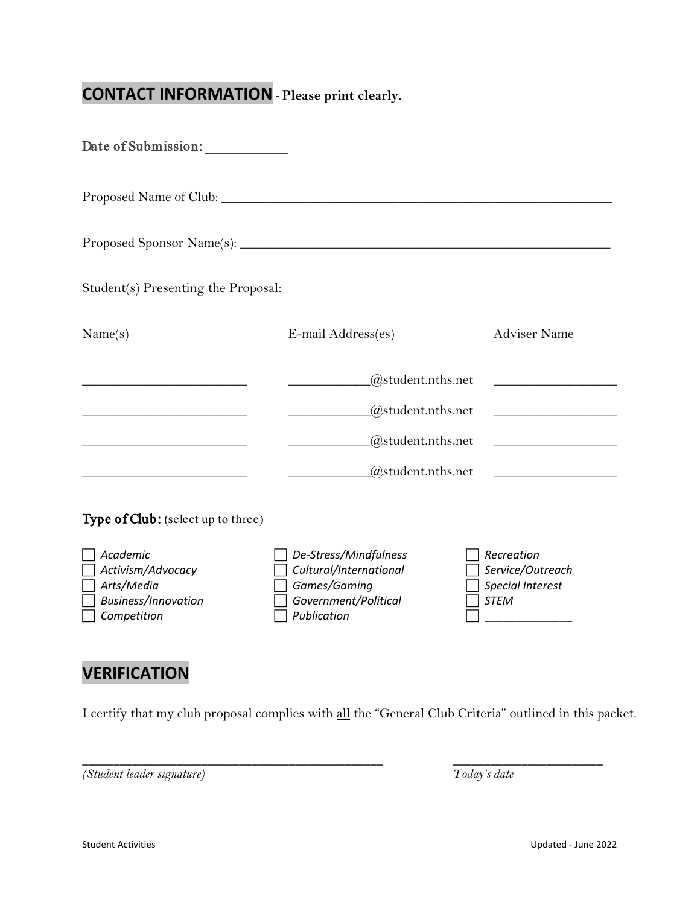# **CONTACT INFORMATION** - **Please print clearly.**

| Date of Submission:                                                               |                                                                                                        |                                                                          |  |  |  |  |
|-----------------------------------------------------------------------------------|--------------------------------------------------------------------------------------------------------|--------------------------------------------------------------------------|--|--|--|--|
|                                                                                   |                                                                                                        |                                                                          |  |  |  |  |
|                                                                                   |                                                                                                        |                                                                          |  |  |  |  |
| Student(s) Presenting the Proposal:                                               |                                                                                                        |                                                                          |  |  |  |  |
| Name(s)                                                                           | E-mail Address(es)                                                                                     | <b>Adviser Name</b>                                                      |  |  |  |  |
| the control of the control of the control of the control of the control of        | @student.nths.net                                                                                      | <u> 1989 - Johann Barbara, martxa alemaniar a</u>                        |  |  |  |  |
|                                                                                   | @student.nths.net                                                                                      |                                                                          |  |  |  |  |
| <u> 1989 - Johann Barbara, martxa alemaniar a</u>                                 | @student.nths.net                                                                                      | the control of the control of the control of                             |  |  |  |  |
|                                                                                   | @student.nths.net                                                                                      | <u> 1989 - Johann Barbara, martxa al</u>                                 |  |  |  |  |
| Type of Club: (select up to three)                                                |                                                                                                        |                                                                          |  |  |  |  |
| Academic<br>Activism/Advocacy<br>Arts/Media<br>Business/Innovation<br>Competition | De-Stress/Mindfulness<br>Cultural/International<br>Games/Gaming<br>Government/Political<br>Publication | Recreation<br>Service/Outreach<br><b>Special Interest</b><br><b>STEM</b> |  |  |  |  |

# **VERIFICATION**

I certify that my club proposal complies with all the "General Club Criteria" outlined in this packet.

\_\_\_\_\_\_\_\_\_\_\_\_\_\_\_\_\_\_\_\_\_\_\_\_\_\_\_\_\_\_\_\_\_\_\_\_\_\_\_\_\_\_\_\_\_\_\_\_ \_\_\_\_\_\_\_\_\_\_\_\_\_\_\_\_\_\_\_\_\_\_\_\_

*(Student leader signature) Today's date*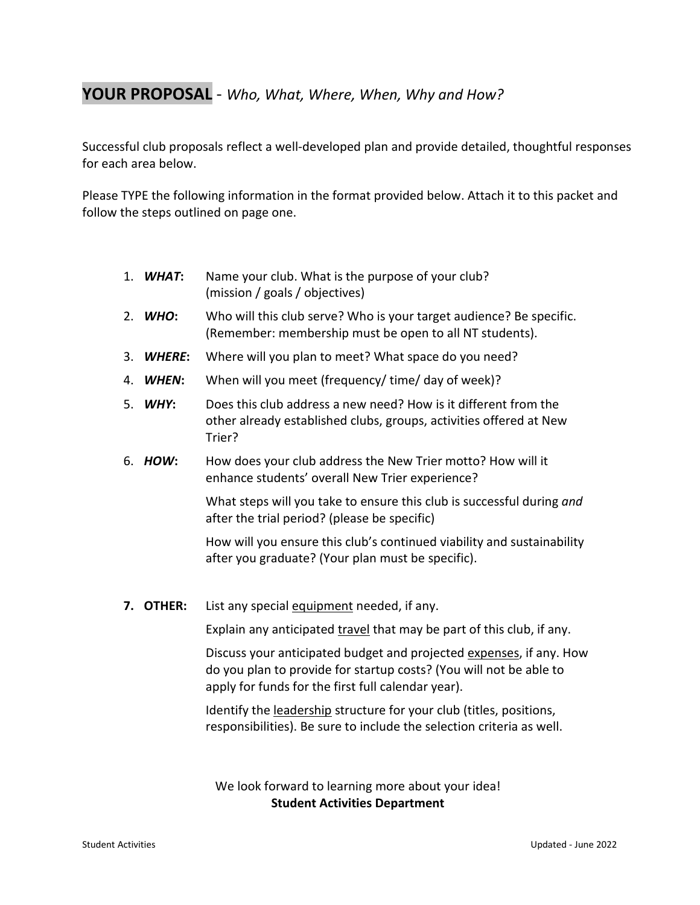### **YOUR PROPOSAL** - *Who, What, Where, When, Why and How?*

Successful club proposals reflect a well-developed plan and provide detailed, thoughtful responses for each area below.

Please TYPE the following information in the format provided below. Attach it to this packet and follow the steps outlined on page one.

- 1. *WHAT***:** Name your club. What is the purpose of your club? (mission / goals / objectives)
- 2. *WHO***:** Who will this club serve? Who is your target audience? Be specific. (Remember: membership must be open to all NT students).
- 3. *WHERE***:** Where will you plan to meet? What space do you need?
- 4. *WHEN***:** When will you meet (frequency/ time/ day of week)?
- 5. *WHY***:** Does this club address a new need? How is it different from the other already established clubs, groups, activities offered at New Trier?
- 6. *HOW***:** How does your club address the New Trier motto? How will it enhance students' overall New Trier experience?

What steps will you take to ensure this club is successful during *and* after the trial period? (please be specific)

How will you ensure this club's continued viability and sustainability after you graduate? (Your plan must be specific).

**7. OTHER:** List any special equipment needed, if any.

Explain any anticipated travel that may be part of this club, if any.

Discuss your anticipated budget and projected expenses, if any. How do you plan to provide for startup costs? (You will not be able to apply for funds for the first full calendar year).

Identify the leadership structure for your club (titles, positions, responsibilities). Be sure to include the selection criteria as well.

We look forward to learning more about your idea! **Student Activities Department**